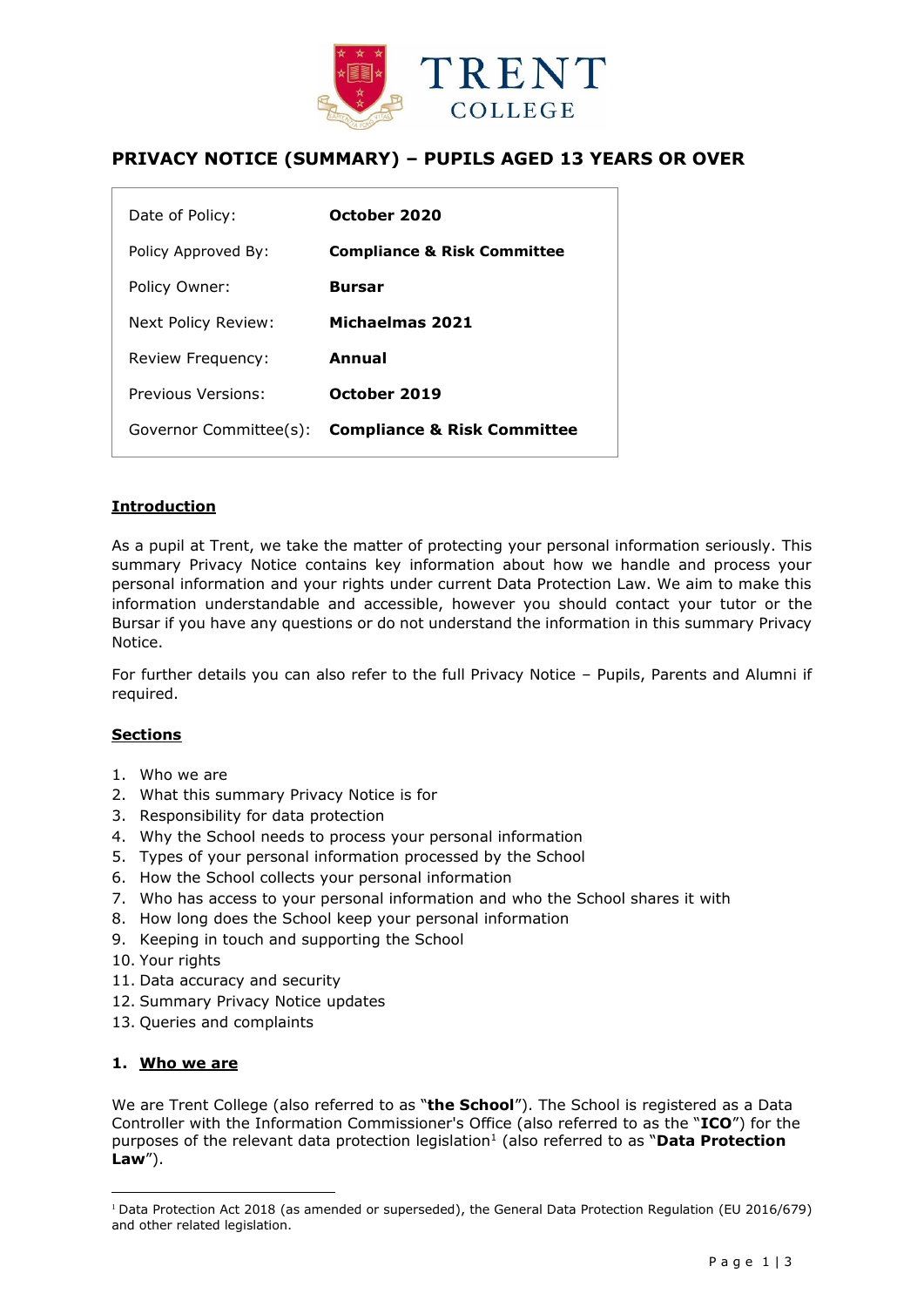

# **PRIVACY NOTICE (SUMMARY) – PUPILS AGED 13 YEARS OR OVER**

| Date of Policy:        | October 2020                           |
|------------------------|----------------------------------------|
| Policy Approved By:    | <b>Compliance &amp; Risk Committee</b> |
| Policy Owner:          | <b>Bursar</b>                          |
| Next Policy Review:    | Michaelmas 2021                        |
| Review Frequency:      | Annual                                 |
| Previous Versions:     | October 2019                           |
| Governor Committee(s): | <b>Compliance &amp; Risk Committee</b> |

# **Introduction**

As a pupil at Trent, we take the matter of protecting your personal information seriously. This summary Privacy Notice contains key information about how we handle and process your personal information and your rights under current Data Protection Law. We aim to make this information understandable and accessible, however you should contact your tutor or the Bursar if you have any questions or do not understand the information in this summary Privacy Notice.

For further details you can also refer to the full Privacy Notice – Pupils, Parents and Alumni if required.

#### **Sections**

- 1. Who we are
- 2. What this summary Privacy Notice is for
- 3. Responsibility for data protection
- 4. Why the School needs to process your personal information
- 5. Types of your personal information processed by the School
- 6. How the School collects your personal information
- 7. Who has access to your personal information and who the School shares it with
- 8. How long does the School keep your personal information
- 9. Keeping in touch and supporting the School
- 10. Your rights
- 11. Data accuracy and security
- 12. Summary Privacy Notice updates
- 13. Queries and complaints

#### **1. Who we are**

 $\overline{a}$ 

We are Trent College (also referred to as "**the School**"). The School is registered as a Data Controller with the Information Commissioner's Office (also referred to as the "**ICO**") for the purposes of the relevant data protection legislation<sup>1</sup> (also referred to as "Data Protection **Law**").

<sup>1</sup> Data Protection Act 2018 (as amended or superseded), the General Data Protection Regulation (EU 2016/679) and other related legislation.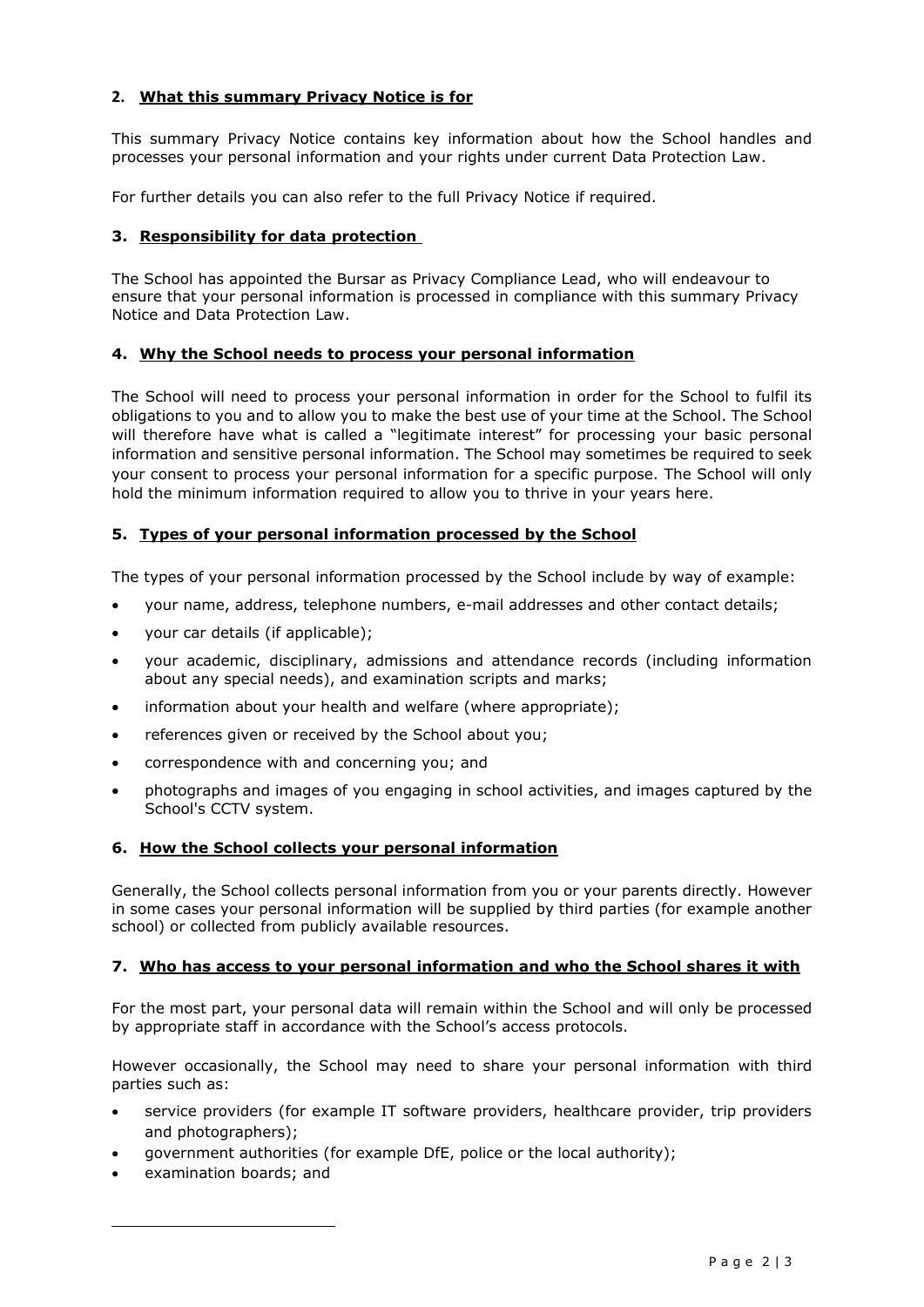# **2. What this summary Privacy Notice is for**

This summary Privacy Notice contains key information about how the School handles and processes your personal information and your rights under current Data Protection Law.

For further details you can also refer to the full Privacy Notice if required.

# **3. Responsibility for data protection**

The School has appointed the Bursar as Privacy Compliance Lead, who will endeavour to ensure that your personal information is processed in compliance with this summary Privacy Notice and Data Protection Law.

# **4. Why the School needs to process your personal information**

The School will need to process your personal information in order for the School to fulfil its obligations to you and to allow you to make the best use of your time at the School. The School will therefore have what is called a "legitimate interest" for processing your basic personal information and sensitive personal information. The School may sometimes be required to seek your consent to process your personal information for a specific purpose. The School will only hold the minimum information required to allow you to thrive in your years here.

# **5. Types of your personal information processed by the School**

The types of your personal information processed by the School include by way of example:

- your name, address, telephone numbers, e-mail addresses and other contact details;
- your car details (if applicable);
- your academic, disciplinary, admissions and attendance records (including information about any special needs), and examination scripts and marks;
- information about your health and welfare (where appropriate);
- references given or received by the School about you;
- correspondence with and concerning you; and
- photographs and images of you engaging in school activities, and images captured by the School's CCTV system.

# **6. How the School collects your personal information**

Generally, the School collects personal information from you or your parents directly. However in some cases your personal information will be supplied by third parties (for example another school) or collected from publicly available resources.

# **7. Who has access to your personal information and who the School shares it with**

For the most part, your personal data will remain within the School and will only be processed by appropriate staff in accordance with the School's access protocols.

However occasionally, the School may need to share your personal information with third parties such as:

- service providers (for example IT software providers, healthcare provider, trip providers and photographers);
- government authorities (for example DfE, police or the local authority);
- examination boards; and

 $\overline{a}$